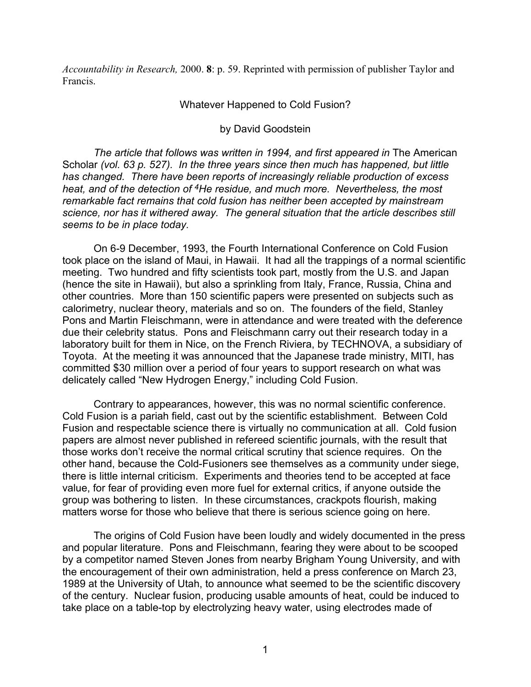*Accountability in Research,* 2000. **8**: p. 59. Reprinted with permission of publisher Taylor and Francis.

## Whatever Happened to Cold Fusion?

## by David Goodstein

*The article that follows was written in 1994, and first appeared in The American* Scholar *(vol. 63 p. 527). In the three years since then much has happened, but little has changed. There have been reports of increasingly reliable production of excess heat, and of the detection of 4He residue, and much more. Nevertheless, the most remarkable fact remains that cold fusion has neither been accepted by mainstream science, nor has it withered away. The general situation that the article describes still seems to be in place today.*

On 6-9 December, 1993, the Fourth International Conference on Cold Fusion took place on the island of Maui, in Hawaii. It had all the trappings of a normal scientific meeting. Two hundred and fifty scientists took part, mostly from the U.S. and Japan (hence the site in Hawaii), but also a sprinkling from Italy, France, Russia, China and other countries. More than 150 scientific papers were presented on subjects such as calorimetry, nuclear theory, materials and so on. The founders of the field, Stanley Pons and Martin Fleischmann, were in attendance and were treated with the deference due their celebrity status. Pons and Fleischmann carry out their research today in a laboratory built for them in Nice, on the French Riviera, by TECHNOVA, a subsidiary of Toyota. At the meeting it was announced that the Japanese trade ministry, MITI, has committed \$30 million over a period of four years to support research on what was delicately called "New Hydrogen Energy," including Cold Fusion.

Contrary to appearances, however, this was no normal scientific conference. Cold Fusion is a pariah field, cast out by the scientific establishment. Between Cold Fusion and respectable science there is virtually no communication at all. Cold fusion papers are almost never published in refereed scientific journals, with the result that those works don't receive the normal critical scrutiny that science requires. On the other hand, because the Cold-Fusioners see themselves as a community under siege, there is little internal criticism. Experiments and theories tend to be accepted at face value, for fear of providing even more fuel for external critics, if anyone outside the group was bothering to listen. In these circumstances, crackpots flourish, making matters worse for those who believe that there is serious science going on here.

The origins of Cold Fusion have been loudly and widely documented in the press and popular literature. Pons and Fleischmann, fearing they were about to be scooped by a competitor named Steven Jones from nearby Brigham Young University, and with the encouragement of their own administration, held a press conference on March 23, 1989 at the University of Utah, to announce what seemed to be the scientific discovery of the century. Nuclear fusion, producing usable amounts of heat, could be induced to take place on a table-top by electrolyzing heavy water, using electrodes made of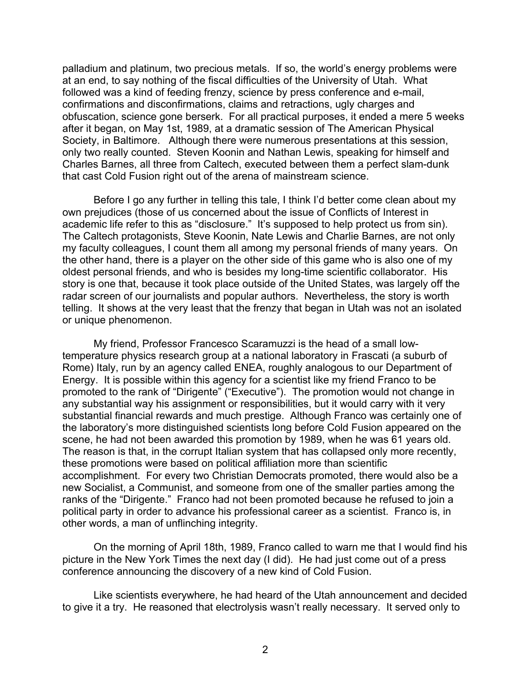palladium and platinum, two precious metals. If so, the world's energy problems were at an end, to say nothing of the fiscal difficulties of the University of Utah. What followed was a kind of feeding frenzy, science by press conference and e-mail, confirmations and disconfirmations, claims and retractions, ugly charges and obfuscation, science gone berserk. For all practical purposes, it ended a mere 5 weeks after it began, on May 1st, 1989, at a dramatic session of The American Physical Society, in Baltimore. Although there were numerous presentations at this session, only two really counted. Steven Koonin and Nathan Lewis, speaking for himself and Charles Barnes, all three from Caltech, executed between them a perfect slam-dunk that cast Cold Fusion right out of the arena of mainstream science.

Before I go any further in telling this tale, I think I'd better come clean about my own prejudices (those of us concerned about the issue of Conflicts of Interest in academic life refer to this as "disclosure." It's supposed to help protect us from sin). The Caltech protagonists, Steve Koonin, Nate Lewis and Charlie Barnes, are not only my faculty colleagues, I count them all among my personal friends of many years. On the other hand, there is a player on the other side of this game who is also one of my oldest personal friends, and who is besides my long-time scientific collaborator. His story is one that, because it took place outside of the United States, was largely off the radar screen of our journalists and popular authors. Nevertheless, the story is worth telling. It shows at the very least that the frenzy that began in Utah was not an isolated or unique phenomenon.

My friend, Professor Francesco Scaramuzzi is the head of a small lowtemperature physics research group at a national laboratory in Frascati (a suburb of Rome) Italy, run by an agency called ENEA, roughly analogous to our Department of Energy. It is possible within this agency for a scientist like my friend Franco to be promoted to the rank of "Dirigente" ("Executive"). The promotion would not change in any substantial way his assignment or responsibilities, but it would carry with it very substantial financial rewards and much prestige. Although Franco was certainly one of the laboratory's more distinguished scientists long before Cold Fusion appeared on the scene, he had not been awarded this promotion by 1989, when he was 61 years old. The reason is that, in the corrupt Italian system that has collapsed only more recently, these promotions were based on political affiliation more than scientific accomplishment. For every two Christian Democrats promoted, there would also be a new Socialist, a Communist, and someone from one of the smaller parties among the ranks of the "Dirigente." Franco had not been promoted because he refused to join a political party in order to advance his professional career as a scientist. Franco is, in other words, a man of unflinching integrity.

On the morning of April 18th, 1989, Franco called to warn me that I would find his picture in the New York Times the next day (I did). He had just come out of a press conference announcing the discovery of a new kind of Cold Fusion.

Like scientists everywhere, he had heard of the Utah announcement and decided to give it a try. He reasoned that electrolysis wasn't really necessary. It served only to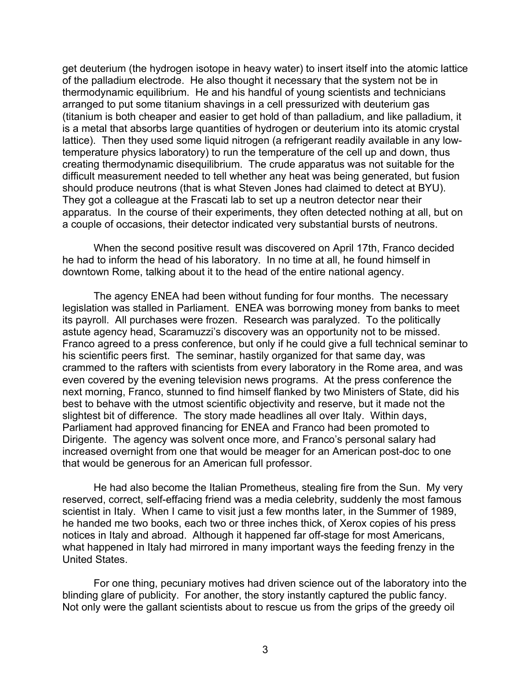get deuterium (the hydrogen isotope in heavy water) to insert itself into the atomic lattice of the palladium electrode. He also thought it necessary that the system not be in thermodynamic equilibrium. He and his handful of young scientists and technicians arranged to put some titanium shavings in a cell pressurized with deuterium gas (titanium is both cheaper and easier to get hold of than palladium, and like palladium, it is a metal that absorbs large quantities of hydrogen or deuterium into its atomic crystal lattice). Then they used some liquid nitrogen (a refrigerant readily available in any lowtemperature physics laboratory) to run the temperature of the cell up and down, thus creating thermodynamic disequilibrium. The crude apparatus was not suitable for the difficult measurement needed to tell whether any heat was being generated, but fusion should produce neutrons (that is what Steven Jones had claimed to detect at BYU). They got a colleague at the Frascati lab to set up a neutron detector near their apparatus. In the course of their experiments, they often detected nothing at all, but on a couple of occasions, their detector indicated very substantial bursts of neutrons.

When the second positive result was discovered on April 17th, Franco decided he had to inform the head of his laboratory. In no time at all, he found himself in downtown Rome, talking about it to the head of the entire national agency.

The agency ENEA had been without funding for four months. The necessary legislation was stalled in Parliament. ENEA was borrowing money from banks to meet its payroll. All purchases were frozen. Research was paralyzed. To the politically astute agency head, Scaramuzzi's discovery was an opportunity not to be missed. Franco agreed to a press conference, but only if he could give a full technical seminar to his scientific peers first. The seminar, hastily organized for that same day, was crammed to the rafters with scientists from every laboratory in the Rome area, and was even covered by the evening television news programs. At the press conference the next morning, Franco, stunned to find himself flanked by two Ministers of State, did his best to behave with the utmost scientific objectivity and reserve, but it made not the slightest bit of difference. The story made headlines all over Italy. Within days, Parliament had approved financing for ENEA and Franco had been promoted to Dirigente. The agency was solvent once more, and Franco's personal salary had increased overnight from one that would be meager for an American post-doc to one that would be generous for an American full professor.

He had also become the Italian Prometheus, stealing fire from the Sun. My very reserved, correct, self-effacing friend was a media celebrity, suddenly the most famous scientist in Italy. When I came to visit just a few months later, in the Summer of 1989, he handed me two books, each two or three inches thick, of Xerox copies of his press notices in Italy and abroad. Although it happened far off-stage for most Americans, what happened in Italy had mirrored in many important ways the feeding frenzy in the United States.

For one thing, pecuniary motives had driven science out of the laboratory into the blinding glare of publicity. For another, the story instantly captured the public fancy. Not only were the gallant scientists about to rescue us from the grips of the greedy oil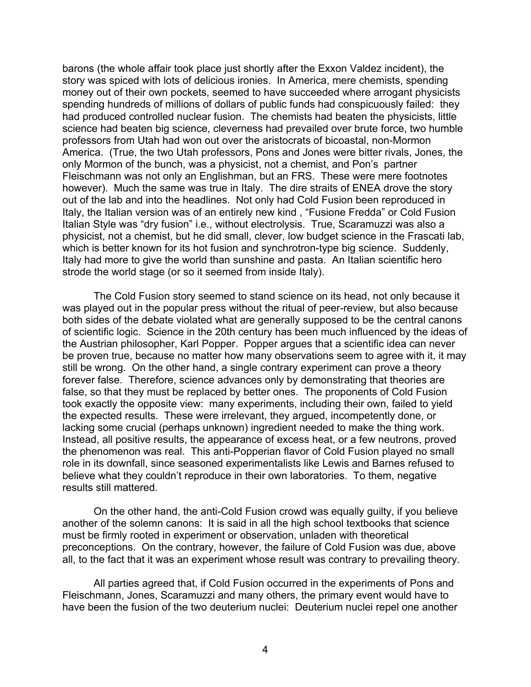barons (the whole affair took place just shortly after the Exxon Valdez incident), the story was spiced with lots of delicious ironies. In America, mere chemists, spending money out of their own pockets, seemed to have succeeded where arrogant physicists spending hundreds of millions of dollars of public funds had conspicuously failed: they had produced controlled nuclear fusion. The chemists had beaten the physicists, little science had beaten big science, cleverness had prevailed over brute force, two humble professors from Utah had won out over the aristocrats of bicoastal, non-Mormon America. (True, the two Utah professors, Pons and Jones were bitter rivals, Jones, the only Mormon of the bunch, was a physicist, not a chemist, and Pon's partner Fleischmann was not only an Englishman, but an FRS. These were mere footnotes however). Much the same was true in Italy. The dire straits of ENEA drove the story out of the lab and into the headlines. Not only had Cold Fusion been reproduced in Italy, the Italian version was of an entirely new kind , "Fusione Fredda" or Cold Fusion Italian Style was "dry fusion" i.e., without electrolysis. True, Scaramuzzi was also a physicist, not a chemist, but he did small, clever, low budget science in the Frascati lab, which is better known for its hot fusion and synchrotron-type big science. Suddenly, Italy had more to give the world than sunshine and pasta. An Italian scientific hero strode the world stage (or so it seemed from inside Italy).

The Cold Fusion story seemed to stand science on its head, not only because it was played out in the popular press without the ritual of peer-review, but also because both sides of the debate violated what are generally supposed to be the central canons of scientific logic. Science in the 20th century has been much influenced by the ideas of the Austrian philosopher, Karl Popper. Popper argues that a scientific idea can never be proven true, because no matter how many observations seem to agree with it, it may still be wrong. On the other hand, a single contrary experiment can prove a theory forever false. Therefore, science advances only by demonstrating that theories are false, so that they must be replaced by better ones. The proponents of Cold Fusion took exactly the opposite view: many experiments, including their own, failed to yield the expected results. These were irrelevant, they argued, incompetently done, or lacking some crucial (perhaps unknown) ingredient needed to make the thing work. Instead, all positive results, the appearance of excess heat, or a few neutrons, proved the phenomenon was real. This anti-Popperian flavor of Cold Fusion played no small role in its downfall, since seasoned experimentalists like Lewis and Barnes refused to believe what they couldn't reproduce in their own laboratories. To them, negative results still mattered.

On the other hand, the anti-Cold Fusion crowd was equally guilty, if you believe another of the solemn canons: It is said in all the high school textbooks that science must be firmly rooted in experiment or observation, unladen with theoretical preconceptions. On the contrary, however, the failure of Cold Fusion was due, above all, to the fact that it was an experiment whose result was contrary to prevailing theory.

All parties agreed that, if Cold Fusion occurred in the experiments of Pons and Fleischmann, Jones, Scaramuzzi and many others, the primary event would have to have been the fusion of the two deuterium nuclei: Deuterium nuclei repel one another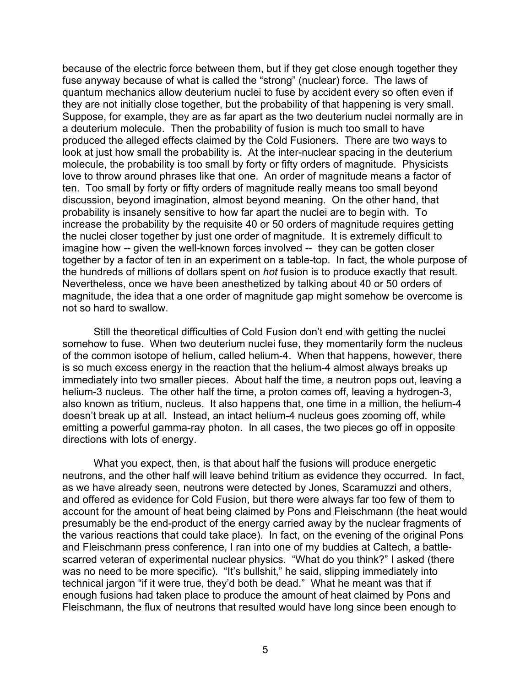because of the electric force between them, but if they get close enough together they fuse anyway because of what is called the "strong" (nuclear) force. The laws of quantum mechanics allow deuterium nuclei to fuse by accident every so often even if they are not initially close together, but the probability of that happening is very small. Suppose, for example, they are as far apart as the two deuterium nuclei normally are in a deuterium molecule. Then the probability of fusion is much too small to have produced the alleged effects claimed by the Cold Fusioners. There are two ways to look at just how small the probability is. At the inter-nuclear spacing in the deuterium molecule, the probability is too small by forty or fifty orders of magnitude. Physicists love to throw around phrases like that one. An order of magnitude means a factor of ten. Too small by forty or fifty orders of magnitude really means too small beyond discussion, beyond imagination, almost beyond meaning. On the other hand, that probability is insanely sensitive to how far apart the nuclei are to begin with. To increase the probability by the requisite 40 or 50 orders of magnitude requires getting the nuclei closer together by just one order of magnitude. It is extremely difficult to imagine how -- given the well-known forces involved -- they can be gotten closer together by a factor of ten in an experiment on a table-top. In fact, the whole purpose of the hundreds of millions of dollars spent on *hot* fusion is to produce exactly that result. Nevertheless, once we have been anesthetized by talking about 40 or 50 orders of magnitude, the idea that a one order of magnitude gap might somehow be overcome is not so hard to swallow.

Still the theoretical difficulties of Cold Fusion don't end with getting the nuclei somehow to fuse. When two deuterium nuclei fuse, they momentarily form the nucleus of the common isotope of helium, called helium-4. When that happens, however, there is so much excess energy in the reaction that the helium-4 almost always breaks up immediately into two smaller pieces. About half the time, a neutron pops out, leaving a helium-3 nucleus. The other half the time, a proton comes off, leaving a hydrogen-3, also known as tritium, nucleus. It also happens that, one time in a million, the helium-4 doesn't break up at all. Instead, an intact helium-4 nucleus goes zooming off, while emitting a powerful gamma-ray photon. In all cases, the two pieces go off in opposite directions with lots of energy.

What you expect, then, is that about half the fusions will produce energetic neutrons, and the other half will leave behind tritium as evidence they occurred. In fact, as we have already seen, neutrons were detected by Jones, Scaramuzzi and others, and offered as evidence for Cold Fusion, but there were always far too few of them to account for the amount of heat being claimed by Pons and Fleischmann (the heat would presumably be the end-product of the energy carried away by the nuclear fragments of the various reactions that could take place). In fact, on the evening of the original Pons and Fleischmann press conference, I ran into one of my buddies at Caltech, a battlescarred veteran of experimental nuclear physics. "What do you think?" I asked (there was no need to be more specific). "It's bullshit," he said, slipping immediately into technical jargon "if it were true, they'd both be dead." What he meant was that if enough fusions had taken place to produce the amount of heat claimed by Pons and Fleischmann, the flux of neutrons that resulted would have long since been enough to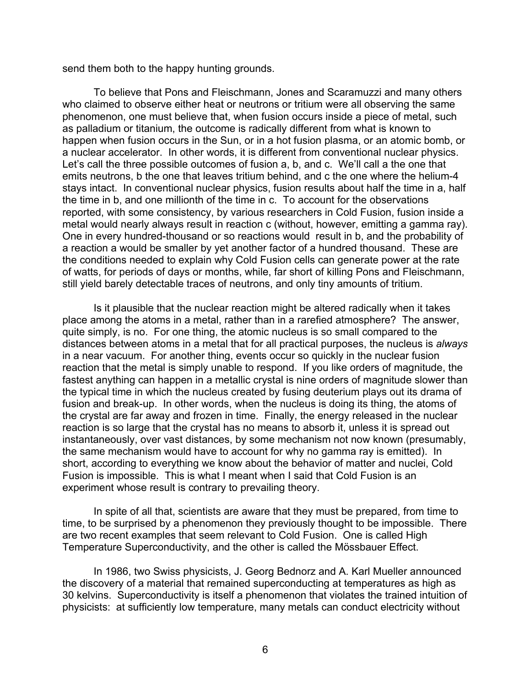send them both to the happy hunting grounds.

To believe that Pons and Fleischmann, Jones and Scaramuzzi and many others who claimed to observe either heat or neutrons or tritium were all observing the same phenomenon, one must believe that, when fusion occurs inside a piece of metal, such as palladium or titanium, the outcome is radically different from what is known to happen when fusion occurs in the Sun, or in a hot fusion plasma, or an atomic bomb, or a nuclear accelerator. In other words, it is different from conventional nuclear physics. Let's call the three possible outcomes of fusion a, b, and c. We'll call a the one that emits neutrons, b the one that leaves tritium behind, and c the one where the helium-4 stays intact. In conventional nuclear physics, fusion results about half the time in a, half the time in b, and one millionth of the time in c. To account for the observations reported, with some consistency, by various researchers in Cold Fusion, fusion inside a metal would nearly always result in reaction c (without, however, emitting a gamma ray). One in every hundred-thousand or so reactions would result in b, and the probability of a reaction a would be smaller by yet another factor of a hundred thousand. These are the conditions needed to explain why Cold Fusion cells can generate power at the rate of watts, for periods of days or months, while, far short of killing Pons and Fleischmann, still yield barely detectable traces of neutrons, and only tiny amounts of tritium.

Is it plausible that the nuclear reaction might be altered radically when it takes place among the atoms in a metal, rather than in a rarefied atmosphere? The answer, quite simply, is no. For one thing, the atomic nucleus is so small compared to the distances between atoms in a metal that for all practical purposes, the nucleus is *always* in a near vacuum. For another thing, events occur so quickly in the nuclear fusion reaction that the metal is simply unable to respond. If you like orders of magnitude, the fastest anything can happen in a metallic crystal is nine orders of magnitude slower than the typical time in which the nucleus created by fusing deuterium plays out its drama of fusion and break-up. In other words, when the nucleus is doing its thing, the atoms of the crystal are far away and frozen in time. Finally, the energy released in the nuclear reaction is so large that the crystal has no means to absorb it, unless it is spread out instantaneously, over vast distances, by some mechanism not now known (presumably, the same mechanism would have to account for why no gamma ray is emitted). In short, according to everything we know about the behavior of matter and nuclei, Cold Fusion is impossible. This is what I meant when I said that Cold Fusion is an experiment whose result is contrary to prevailing theory.

In spite of all that, scientists are aware that they must be prepared, from time to time, to be surprised by a phenomenon they previously thought to be impossible. There are two recent examples that seem relevant to Cold Fusion. One is called High Temperature Superconductivity, and the other is called the Mössbauer Effect.

In 1986, two Swiss physicists, J. Georg Bednorz and A. Karl Mueller announced the discovery of a material that remained superconducting at temperatures as high as 30 kelvins. Superconductivity is itself a phenomenon that violates the trained intuition of physicists: at sufficiently low temperature, many metals can conduct electricity without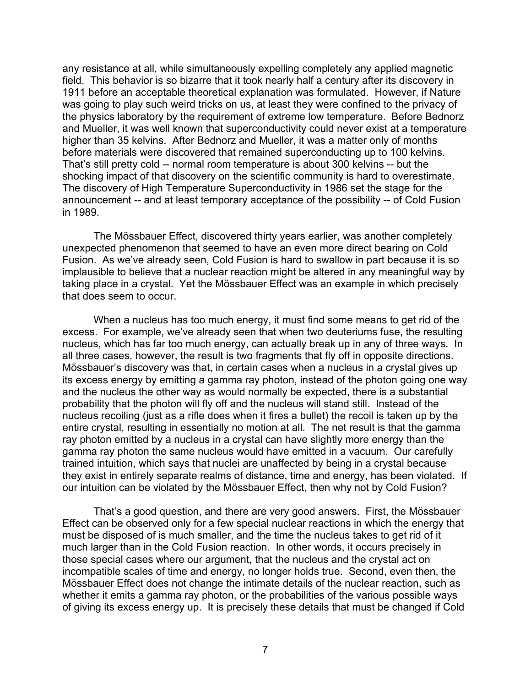any resistance at all, while simultaneously expelling completely any applied magnetic field. This behavior is so bizarre that it took nearly half a century after its discovery in 1911 before an acceptable theoretical explanation was formulated. However, if Nature was going to play such weird tricks on us, at least they were confined to the privacy of the physics laboratory by the requirement of extreme low temperature. Before Bednorz and Mueller, it was well known that superconductivity could never exist at a temperature higher than 35 kelvins. After Bednorz and Mueller, it was a matter only of months before materials were discovered that remained superconducting up to 100 kelvins. That's still pretty cold -- normal room temperature is about 300 kelvins -- but the shocking impact of that discovery on the scientific community is hard to overestimate. The discovery of High Temperature Superconductivity in 1986 set the stage for the announcement -- and at least temporary acceptance of the possibility -- of Cold Fusion in 1989.

The Mössbauer Effect, discovered thirty years earlier, was another completely unexpected phenomenon that seemed to have an even more direct bearing on Cold Fusion. As we've already seen, Cold Fusion is hard to swallow in part because it is so implausible to believe that a nuclear reaction might be altered in any meaningful way by taking place in a crystal. Yet the Mössbauer Effect was an example in which precisely that does seem to occur.

When a nucleus has too much energy, it must find some means to get rid of the excess. For example, we've already seen that when two deuteriums fuse, the resulting nucleus, which has far too much energy, can actually break up in any of three ways. In all three cases, however, the result is two fragments that fly off in opposite directions. Mössbauer's discovery was that, in certain cases when a nucleus in a crystal gives up its excess energy by emitting a gamma ray photon, instead of the photon going one way and the nucleus the other way as would normally be expected, there is a substantial probability that the photon will fly off and the nucleus will stand still. Instead of the nucleus recoiling (just as a rifle does when it fires a bullet) the recoil is taken up by the entire crystal, resulting in essentially no motion at all. The net result is that the gamma ray photon emitted by a nucleus in a crystal can have slightly more energy than the gamma ray photon the same nucleus would have emitted in a vacuum. Our carefully trained intuition, which says that nuclei are unaffected by being in a crystal because they exist in entirely separate realms of distance, time and energy, has been violated. If our intuition can be violated by the Mössbauer Effect, then why not by Cold Fusion?

That's a good question, and there are very good answers. First, the Mössbauer Effect can be observed only for a few special nuclear reactions in which the energy that must be disposed of is much smaller, and the time the nucleus takes to get rid of it much larger than in the Cold Fusion reaction. In other words, it occurs precisely in those special cases where our argument, that the nucleus and the crystal act on incompatible scales of time and energy, no longer holds true. Second, even then, the Mössbauer Effect does not change the intimate details of the nuclear reaction, such as whether it emits a gamma ray photon, or the probabilities of the various possible ways of giving its excess energy up. It is precisely these details that must be changed if Cold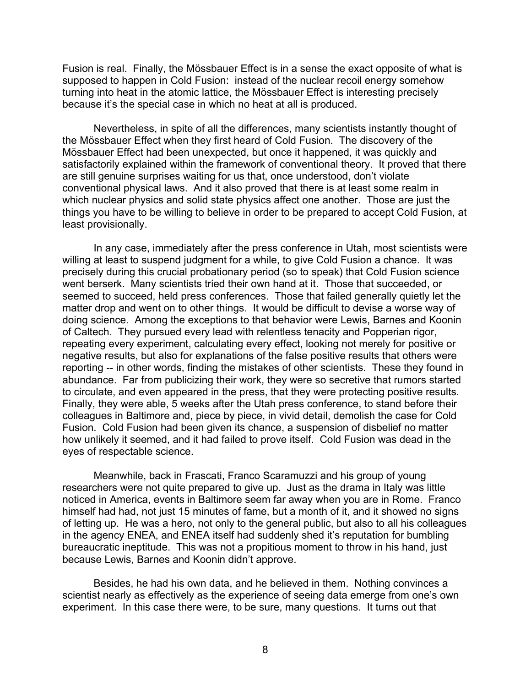Fusion is real. Finally, the Mössbauer Effect is in a sense the exact opposite of what is supposed to happen in Cold Fusion: instead of the nuclear recoil energy somehow turning into heat in the atomic lattice, the Mössbauer Effect is interesting precisely because it's the special case in which no heat at all is produced.

Nevertheless, in spite of all the differences, many scientists instantly thought of the Mössbauer Effect when they first heard of Cold Fusion. The discovery of the Mössbauer Effect had been unexpected, but once it happened, it was quickly and satisfactorily explained within the framework of conventional theory. It proved that there are still genuine surprises waiting for us that, once understood, don't violate conventional physical laws. And it also proved that there is at least some realm in which nuclear physics and solid state physics affect one another. Those are just the things you have to be willing to believe in order to be prepared to accept Cold Fusion, at least provisionally.

In any case, immediately after the press conference in Utah, most scientists were willing at least to suspend judgment for a while, to give Cold Fusion a chance. It was precisely during this crucial probationary period (so to speak) that Cold Fusion science went berserk. Many scientists tried their own hand at it. Those that succeeded, or seemed to succeed, held press conferences. Those that failed generally quietly let the matter drop and went on to other things. It would be difficult to devise a worse way of doing science. Among the exceptions to that behavior were Lewis, Barnes and Koonin of Caltech. They pursued every lead with relentless tenacity and Popperian rigor, repeating every experiment, calculating every effect, looking not merely for positive or negative results, but also for explanations of the false positive results that others were reporting -- in other words, finding the mistakes of other scientists. These they found in abundance. Far from publicizing their work, they were so secretive that rumors started to circulate, and even appeared in the press, that they were protecting positive results. Finally, they were able, 5 weeks after the Utah press conference, to stand before their colleagues in Baltimore and, piece by piece, in vivid detail, demolish the case for Cold Fusion. Cold Fusion had been given its chance, a suspension of disbelief no matter how unlikely it seemed, and it had failed to prove itself. Cold Fusion was dead in the eyes of respectable science.

Meanwhile, back in Frascati, Franco Scaramuzzi and his group of young researchers were not quite prepared to give up. Just as the drama in Italy was little noticed in America, events in Baltimore seem far away when you are in Rome. Franco himself had had, not just 15 minutes of fame, but a month of it, and it showed no signs of letting up. He was a hero, not only to the general public, but also to all his colleagues in the agency ENEA, and ENEA itself had suddenly shed it's reputation for bumbling bureaucratic ineptitude. This was not a propitious moment to throw in his hand, just because Lewis, Barnes and Koonin didn't approve.

Besides, he had his own data, and he believed in them. Nothing convinces a scientist nearly as effectively as the experience of seeing data emerge from one's own experiment. In this case there were, to be sure, many questions. It turns out that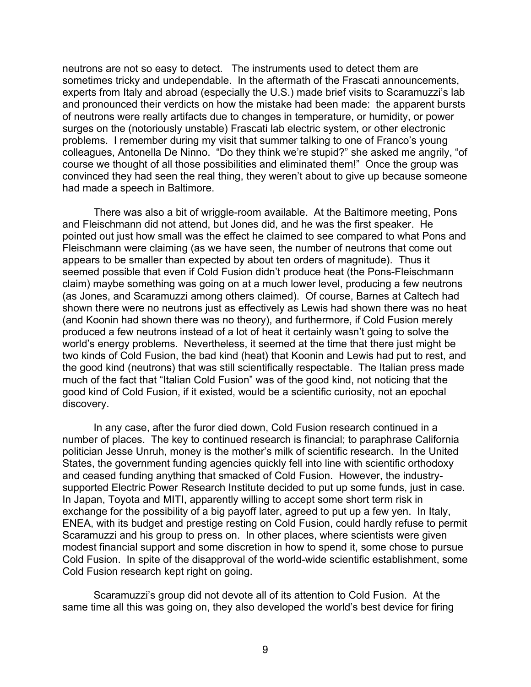neutrons are not so easy to detect. The instruments used to detect them are sometimes tricky and undependable. In the aftermath of the Frascati announcements, experts from Italy and abroad (especially the U.S.) made brief visits to Scaramuzzi's lab and pronounced their verdicts on how the mistake had been made: the apparent bursts of neutrons were really artifacts due to changes in temperature, or humidity, or power surges on the (notoriously unstable) Frascati lab electric system, or other electronic problems. I remember during my visit that summer talking to one of Franco's young colleagues, Antonella De Ninno. "Do they think we're stupid?" she asked me angrily, "of course we thought of all those possibilities and eliminated them!" Once the group was convinced they had seen the real thing, they weren't about to give up because someone had made a speech in Baltimore.

There was also a bit of wriggle-room available. At the Baltimore meeting, Pons and Fleischmann did not attend, but Jones did, and he was the first speaker. He pointed out just how small was the effect he claimed to see compared to what Pons and Fleischmann were claiming (as we have seen, the number of neutrons that come out appears to be smaller than expected by about ten orders of magnitude). Thus it seemed possible that even if Cold Fusion didn't produce heat (the Pons-Fleischmann claim) maybe something was going on at a much lower level, producing a few neutrons (as Jones, and Scaramuzzi among others claimed). Of course, Barnes at Caltech had shown there were no neutrons just as effectively as Lewis had shown there was no heat (and Koonin had shown there was no theory), and furthermore, if Cold Fusion merely produced a few neutrons instead of a lot of heat it certainly wasn't going to solve the world's energy problems. Nevertheless, it seemed at the time that there just might be two kinds of Cold Fusion, the bad kind (heat) that Koonin and Lewis had put to rest, and the good kind (neutrons) that was still scientifically respectable. The Italian press made much of the fact that "Italian Cold Fusion" was of the good kind, not noticing that the good kind of Cold Fusion, if it existed, would be a scientific curiosity, not an epochal discovery.

In any case, after the furor died down, Cold Fusion research continued in a number of places. The key to continued research is financial; to paraphrase California politician Jesse Unruh, money is the mother's milk of scientific research. In the United States, the government funding agencies quickly fell into line with scientific orthodoxy and ceased funding anything that smacked of Cold Fusion. However, the industrysupported Electric Power Research Institute decided to put up some funds, just in case. In Japan, Toyota and MITI, apparently willing to accept some short term risk in exchange for the possibility of a big payoff later, agreed to put up a few yen. In Italy, ENEA, with its budget and prestige resting on Cold Fusion, could hardly refuse to permit Scaramuzzi and his group to press on. In other places, where scientists were given modest financial support and some discretion in how to spend it, some chose to pursue Cold Fusion. In spite of the disapproval of the world-wide scientific establishment, some Cold Fusion research kept right on going.

Scaramuzzi's group did not devote all of its attention to Cold Fusion. At the same time all this was going on, they also developed the world's best device for firing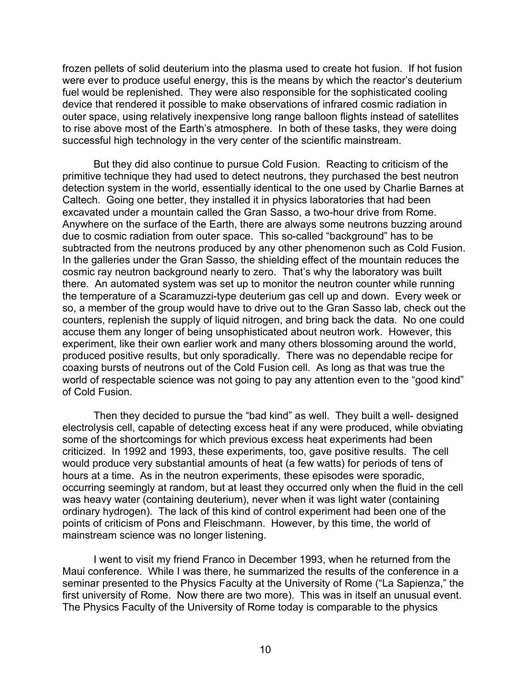frozen pellets of solid deuterium into the plasma used to create hot fusion. If hot fusion were ever to produce useful energy, this is the means by which the reactor's deuterium fuel would be replenished. They were also responsible for the sophisticated cooling device that rendered it possible to make observations of infrared cosmic radiation in outer space, using relatively inexpensive long range balloon flights instead of satellites to rise above most of the Earth's atmosphere. In both of these tasks, they were doing successful high technology in the very center of the scientific mainstream.

But they did also continue to pursue Cold Fusion. Reacting to criticism of the primitive technique they had used to detect neutrons, they purchased the best neutron detection system in the world, essentially identical to the one used by Charlie Barnes at Caltech. Going one better, they installed it in physics laboratories that had been excavated under a mountain called the Gran Sasso, a two-hour drive from Rome. Anywhere on the surface of the Earth, there are always some neutrons buzzing around due to cosmic radiation from outer space. This so-called "background" has to be subtracted from the neutrons produced by any other phenomenon such as Cold Fusion. In the galleries under the Gran Sasso, the shielding effect of the mountain reduces the cosmic ray neutron background nearly to zero. That's why the laboratory was built there. An automated system was set up to monitor the neutron counter while running the temperature of a Scaramuzzi-type deuterium gas cell up and down. Every week or so, a member of the group would have to drive out to the Gran Sasso lab, check out the counters, replenish the supply of liquid nitrogen, and bring back the data. No one could accuse them any longer of being unsophisticated about neutron work. However, this experiment, like their own earlier work and many others blossoming around the world, produced positive results, but only sporadically. There was no dependable recipe for coaxing bursts of neutrons out of the Cold Fusion cell. As long as that was true the world of respectable science was not going to pay any attention even to the "good kind" of Cold Fusion.

Then they decided to pursue the "bad kind" as well. They built a well- designed electrolysis cell, capable of detecting excess heat if any were produced, while obviating some of the shortcomings for which previous excess heat experiments had been criticized. In 1992 and 1993, these experiments, too, gave positive results. The cell would produce very substantial amounts of heat (a few watts) for periods of tens of hours at a time. As in the neutron experiments, these episodes were sporadic, occurring seemingly at random, but at least they occurred only when the fluid in the cell was heavy water (containing deuterium), never when it was light water (containing ordinary hydrogen). The lack of this kind of control experiment had been one of the points of criticism of Pons and Fleischmann. However, by this time, the world of mainstream science was no longer listening.

I went to visit my friend Franco in December 1993, when he returned from the Maui conference. While I was there, he summarized the results of the conference in a seminar presented to the Physics Faculty at the University of Rome ("La Sapienza," the first university of Rome. Now there are two more). This was in itself an unusual event. The Physics Faculty of the University of Rome today is comparable to the physics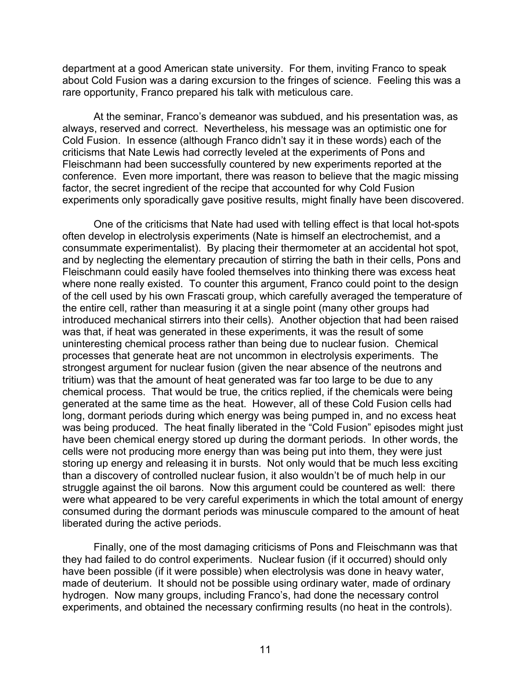department at a good American state university. For them, inviting Franco to speak about Cold Fusion was a daring excursion to the fringes of science. Feeling this was a rare opportunity, Franco prepared his talk with meticulous care.

At the seminar, Franco's demeanor was subdued, and his presentation was, as always, reserved and correct. Nevertheless, his message was an optimistic one for Cold Fusion. In essence (although Franco didn't say it in these words) each of the criticisms that Nate Lewis had correctly leveled at the experiments of Pons and Fleischmann had been successfully countered by new experiments reported at the conference. Even more important, there was reason to believe that the magic missing factor, the secret ingredient of the recipe that accounted for why Cold Fusion experiments only sporadically gave positive results, might finally have been discovered.

One of the criticisms that Nate had used with telling effect is that local hot-spots often develop in electrolysis experiments (Nate is himself an electrochemist, and a consummate experimentalist). By placing their thermometer at an accidental hot spot, and by neglecting the elementary precaution of stirring the bath in their cells, Pons and Fleischmann could easily have fooled themselves into thinking there was excess heat where none really existed. To counter this argument, Franco could point to the design of the cell used by his own Frascati group, which carefully averaged the temperature of the entire cell, rather than measuring it at a single point (many other groups had introduced mechanical stirrers into their cells). Another objection that had been raised was that, if heat was generated in these experiments, it was the result of some uninteresting chemical process rather than being due to nuclear fusion. Chemical processes that generate heat are not uncommon in electrolysis experiments. The strongest argument for nuclear fusion (given the near absence of the neutrons and tritium) was that the amount of heat generated was far too large to be due to any chemical process. That would be true, the critics replied, if the chemicals were being generated at the same time as the heat. However, all of these Cold Fusion cells had long, dormant periods during which energy was being pumped in, and no excess heat was being produced. The heat finally liberated in the "Cold Fusion" episodes might just have been chemical energy stored up during the dormant periods. In other words, the cells were not producing more energy than was being put into them, they were just storing up energy and releasing it in bursts. Not only would that be much less exciting than a discovery of controlled nuclear fusion, it also wouldn't be of much help in our struggle against the oil barons. Now this argument could be countered as well: there were what appeared to be very careful experiments in which the total amount of energy consumed during the dormant periods was minuscule compared to the amount of heat liberated during the active periods.

Finally, one of the most damaging criticisms of Pons and Fleischmann was that they had failed to do control experiments. Nuclear fusion (if it occurred) should only have been possible (if it were possible) when electrolysis was done in heavy water, made of deuterium. It should not be possible using ordinary water, made of ordinary hydrogen. Now many groups, including Franco's, had done the necessary control experiments, and obtained the necessary confirming results (no heat in the controls).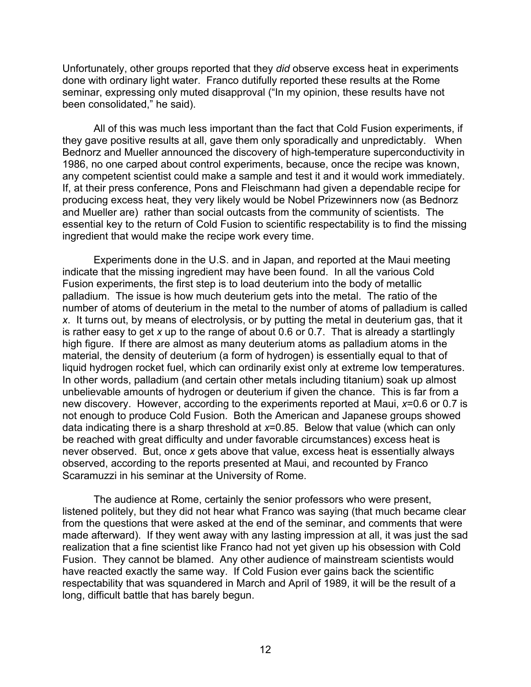Unfortunately, other groups reported that they *did* observe excess heat in experiments done with ordinary light water. Franco dutifully reported these results at the Rome seminar, expressing only muted disapproval ("In my opinion, these results have not been consolidated," he said).

All of this was much less important than the fact that Cold Fusion experiments, if they gave positive results at all, gave them only sporadically and unpredictably. When Bednorz and Mueller announced the discovery of high-temperature superconductivity in 1986, no one carped about control experiments, because, once the recipe was known, any competent scientist could make a sample and test it and it would work immediately. If, at their press conference, Pons and Fleischmann had given a dependable recipe for producing excess heat, they very likely would be Nobel Prizewinners now (as Bednorz and Mueller are) rather than social outcasts from the community of scientists. The essential key to the return of Cold Fusion to scientific respectability is to find the missing ingredient that would make the recipe work every time.

Experiments done in the U.S. and in Japan, and reported at the Maui meeting indicate that the missing ingredient may have been found. In all the various Cold Fusion experiments, the first step is to load deuterium into the body of metallic palladium. The issue is how much deuterium gets into the metal. The ratio of the number of atoms of deuterium in the metal to the number of atoms of palladium is called *x*. It turns out, by means of electrolysis, or by putting the metal in deuterium gas, that it is rather easy to get *x* up to the range of about 0.6 or 0.7. That is already a startlingly high figure. If there are almost as many deuterium atoms as palladium atoms in the material, the density of deuterium (a form of hydrogen) is essentially equal to that of liquid hydrogen rocket fuel, which can ordinarily exist only at extreme low temperatures. In other words, palladium (and certain other metals including titanium) soak up almost unbelievable amounts of hydrogen or deuterium if given the chance. This is far from a new discovery. However, according to the experiments reported at Maui, *x*=0.6 or 0.7 is not enough to produce Cold Fusion. Both the American and Japanese groups showed data indicating there is a sharp threshold at *x*=0.85. Below that value (which can only be reached with great difficulty and under favorable circumstances) excess heat is never observed. But, once *x* gets above that value, excess heat is essentially always observed, according to the reports presented at Maui, and recounted by Franco Scaramuzzi in his seminar at the University of Rome.

The audience at Rome, certainly the senior professors who were present, listened politely, but they did not hear what Franco was saying (that much became clear from the questions that were asked at the end of the seminar, and comments that were made afterward). If they went away with any lasting impression at all, it was just the sad realization that a fine scientist like Franco had not yet given up his obsession with Cold Fusion. They cannot be blamed. Any other audience of mainstream scientists would have reacted exactly the same way. If Cold Fusion ever gains back the scientific respectability that was squandered in March and April of 1989, it will be the result of a long, difficult battle that has barely begun.